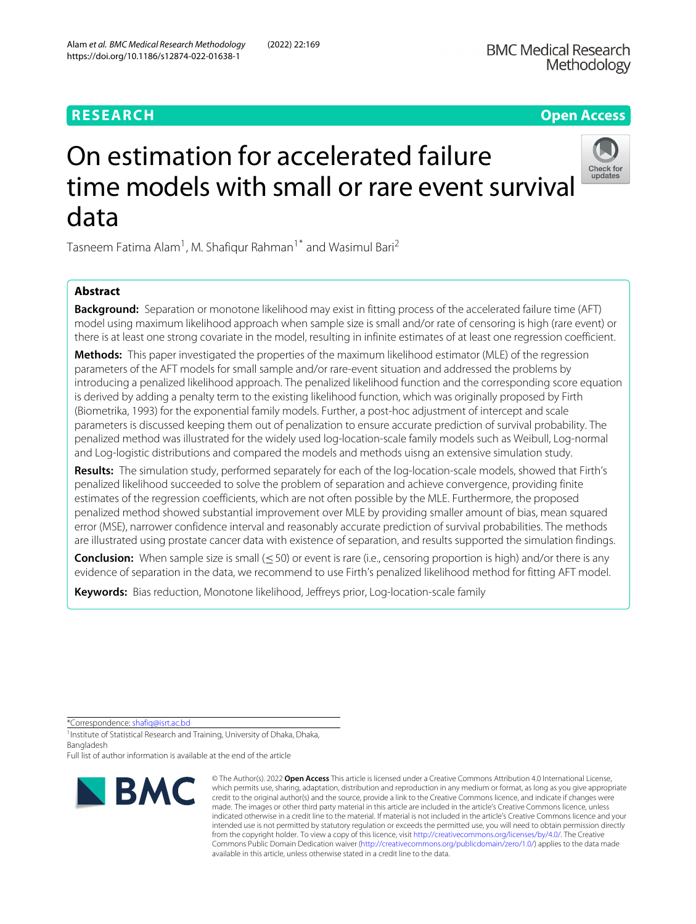https://doi.org/10.1186/s12874-022-01638-1

# **RESEARCH Open Access**

# On estimation for accelerated failure time models with small or rare event survival data



Tasneem Fatima Alam<sup>1</sup>, M. Shafiqur Rahman<sup>1\*</sup> and Wasimul Bari<sup>2</sup>

# **Abstract**

**Background:** Separation or monotone likelihood may exist in fitting process of the accelerated failure time (AFT) model using maximum likelihood approach when sample size is small and/or rate of censoring is high (rare event) or there is at least one strong covariate in the model, resulting in infinite estimates of at least one regression coefficient.

**Methods:** This paper investigated the properties of the maximum likelihood estimator (MLE) of the regression parameters of the AFT models for small sample and/or rare-event situation and addressed the problems by introducing a penalized likelihood approach. The penalized likelihood function and the corresponding score equation is derived by adding a penalty term to the existing likelihood function, which was originally proposed by Firth (Biometrika, 1993) for the exponential family models. Further, a post-hoc adjustment of intercept and scale parameters is discussed keeping them out of penalization to ensure accurate prediction of survival probability. The penalized method was illustrated for the widely used log-location-scale family models such as Weibull, Log-normal and Log-logistic distributions and compared the models and methods uisng an extensive simulation study.

**Results:** The simulation study, performed separately for each of the log-location-scale models, showed that Firth's penalized likelihood succeeded to solve the problem of separation and achieve convergence, providing finite estimates of the regression coefficients, which are not often possible by the MLE. Furthermore, the proposed penalized method showed substantial improvement over MLE by providing smaller amount of bias, mean squared error (MSE), narrower confidence interval and reasonably accurate prediction of survival probabilities. The methods are illustrated using prostate cancer data with existence of separation, and results supported the simulation findings.

**Conclusion:** When sample size is small (≤50) or event is rare (i.e., censoring proportion is high) and/or there is any evidence of separation in the data, we recommend to use Firth's penalized likelihood method for fitting AFT model.

**Keywords:** Bias reduction, Monotone likelihood, Jeffreys prior, Log-location-scale family

\*Correspondence: [shafiq@isrt.ac.bd](mailto: shafiq@isrt.ac.bd)

<sup>1</sup> Institute of Statistical Research and Training, University of Dhaka, Dhaka, Bangladesh

Full list of author information is available at the end of the article



<sup>©</sup> The Author(s). 2022 **Open Access** This article is licensed under a Creative Commons Attribution 4.0 International License, which permits use, sharing, adaptation, distribution and reproduction in any medium or format, as long as you give appropriate credit to the original author(s) and the source, provide a link to the Creative Commons licence, and indicate if changes were made. The images or other third party material in this article are included in the article's Creative Commons licence, unless indicated otherwise in a credit line to the material. If material is not included in the article's Creative Commons licence and your intended use is not permitted by statutory regulation or exceeds the permitted use, you will need to obtain permission directly from the copyright holder. To view a copy of this licence, visit [http://creativecommons.org/licenses/by/4.0/.](http://creativecommons.org/licenses/by/4.0/) The Creative Commons Public Domain Dedication waiver [\(http://creativecommons.org/publicdomain/zero/1.0/\)](http://creativecommons.org/publicdomain/zero/1.0/) applies to the data made available in this article, unless otherwise stated in a credit line to the data.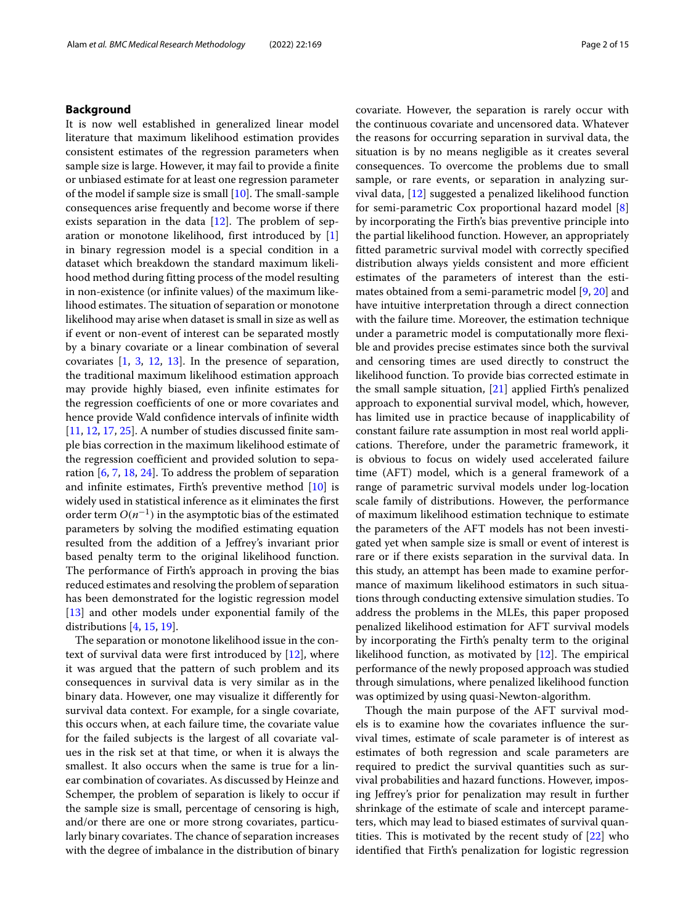#### **Background**

It is now well established in generalized linear model literature that maximum likelihood estimation provides consistent estimates of the regression parameters when sample size is large. However, it may fail to provide a finite or unbiased estimate for at least one regression parameter of the model if sample size is small  $[10]$ . The small-sample consequences arise frequently and become worse if there exists separation in the data  $[12]$ . The problem of separation or monotone likelihood, first introduced by [\[1\]](#page-14-2) in binary regression model is a special condition in a dataset which breakdown the standard maximum likelihood method during fitting process of the model resulting in non-existence (or infinite values) of the maximum likelihood estimates. The situation of separation or monotone likelihood may arise when dataset is small in size as well as if event or non-event of interest can be separated mostly by a binary covariate or a linear combination of several covariates [\[1,](#page-14-2) [3,](#page-14-3) [12,](#page-14-1) [13\]](#page-14-4). In the presence of separation, the traditional maximum likelihood estimation approach may provide highly biased, even infinite estimates for the regression coefficients of one or more covariates and hence provide Wald confidence intervals of infinite width [\[11,](#page-14-5) [12,](#page-14-1) [17,](#page-14-6) [25\]](#page-14-7). A number of studies discussed finite sample bias correction in the maximum likelihood estimate of the regression coefficient and provided solution to separation [\[6,](#page-14-8) [7,](#page-14-9) [18,](#page-14-10) [24\]](#page-14-11). To address the problem of separation and infinite estimates, Firth's preventive method [\[10\]](#page-14-0) is widely used in statistical inference as it eliminates the first order term  $O(n^{-1})$  in the asymptotic bias of the estimated parameters by solving the modified estimating equation resulted from the addition of a Jeffrey's invariant prior based penalty term to the original likelihood function. The performance of Firth's approach in proving the bias reduced estimates and resolving the problem of separation has been demonstrated for the logistic regression model [\[13\]](#page-14-4) and other models under exponential family of the distributions  $[4, 15, 19]$  $[4, 15, 19]$  $[4, 15, 19]$  $[4, 15, 19]$  $[4, 15, 19]$ .

The separation or monotone likelihood issue in the context of survival data were first introduced by [\[12\]](#page-14-1), where it was argued that the pattern of such problem and its consequences in survival data is very similar as in the binary data. However, one may visualize it differently for survival data context. For example, for a single covariate, this occurs when, at each failure time, the covariate value for the failed subjects is the largest of all covariate values in the risk set at that time, or when it is always the smallest. It also occurs when the same is true for a linear combination of covariates. As discussed by Heinze and Schemper, the problem of separation is likely to occur if the sample size is small, percentage of censoring is high, and/or there are one or more strong covariates, particularly binary covariates. The chance of separation increases with the degree of imbalance in the distribution of binary

covariate. However, the separation is rarely occur with the continuous covariate and uncensored data. Whatever the reasons for occurring separation in survival data, the situation is by no means negligible as it creates several consequences. To overcome the problems due to small sample, or rare events, or separation in analyzing survival data, [\[12\]](#page-14-1) suggested a penalized likelihood function for semi-parametric Cox proportional hazard model [\[8\]](#page-14-15) by incorporating the Firth's bias preventive principle into the partial likelihood function. However, an appropriately fitted parametric survival model with correctly specified distribution always yields consistent and more efficient estimates of the parameters of interest than the estimates obtained from a semi-parametric model [\[9,](#page-14-16) [20\]](#page-14-17) and have intuitive interpretation through a direct connection with the failure time. Moreover, the estimation technique under a parametric model is computationally more flexible and provides precise estimates since both the survival and censoring times are used directly to construct the likelihood function. To provide bias corrected estimate in the small sample situation, [\[21\]](#page-14-18) applied Firth's penalized approach to exponential survival model, which, however, has limited use in practice because of inapplicability of constant failure rate assumption in most real world applications. Therefore, under the parametric framework, it is obvious to focus on widely used accelerated failure time (AFT) model, which is a general framework of a range of parametric survival models under log-location scale family of distributions. However, the performance of maximum likelihood estimation technique to estimate the parameters of the AFT models has not been investigated yet when sample size is small or event of interest is rare or if there exists separation in the survival data. In this study, an attempt has been made to examine performance of maximum likelihood estimators in such situations through conducting extensive simulation studies. To address the problems in the MLEs, this paper proposed penalized likelihood estimation for AFT survival models by incorporating the Firth's penalty term to the original likelihood function, as motivated by  $[12]$ . The empirical performance of the newly proposed approach was studied through simulations, where penalized likelihood function was optimized by using quasi-Newton-algorithm.

Though the main purpose of the AFT survival models is to examine how the covariates influence the survival times, estimate of scale parameter is of interest as estimates of both regression and scale parameters are required to predict the survival quantities such as survival probabilities and hazard functions. However, imposing Jeffrey's prior for penalization may result in further shrinkage of the estimate of scale and intercept parameters, which may lead to biased estimates of survival quantities. This is motivated by the recent study of  $[22]$  who identified that Firth's penalization for logistic regression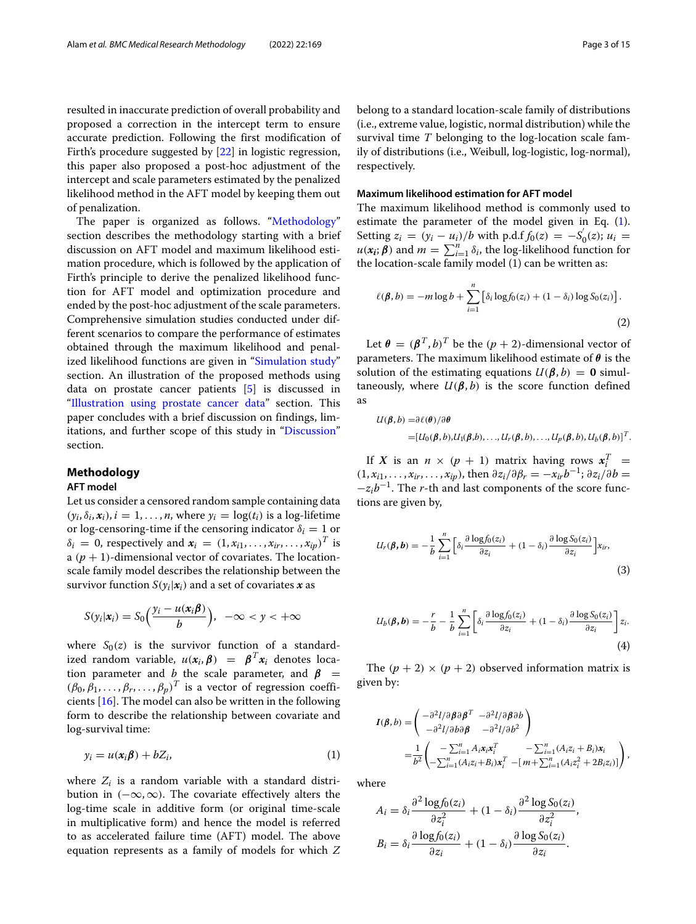resulted in inaccurate prediction of overall probability and proposed a correction in the intercept term to ensure accurate prediction. Following the first modification of Firth's procedure suggested by [\[22\]](#page-14-19) in logistic regression, this paper also proposed a post-hoc adjustment of the intercept and scale parameters estimated by the penalized likelihood method in the AFT model by keeping them out of penalization.

The paper is organized as follows. ["Methodology"](#page-2-0) section describes the methodology starting with a brief discussion on AFT model and maximum likelihood estimation procedure, which is followed by the application of Firth's principle to derive the penalized likelihood function for AFT model and optimization procedure and ended by the post-hoc adjustment of the scale parameters. Comprehensive simulation studies conducted under different scenarios to compare the performance of estimates obtained through the maximum likelihood and penal-ized likelihood functions are given in ["Simulation study"](#page-4-0) section. An illustration of the proposed methods using data on prostate cancer patients [\[5\]](#page-14-20) is discussed in ["Illustration using prostate cancer data"](#page-10-0) section. This paper concludes with a brief discussion on findings, limitations, and further scope of this study in ["Discussion"](#page-13-0) section.

# <span id="page-2-0"></span>**Methodology**

#### **AFT model**

Let us consider a censored random sample containing data  $(y_i, \delta_i, x_i)$ ,  $i = 1, \ldots, n$ , where  $y_i = \log(t_i)$  is a log-lifetime or log-censoring-time if the censoring indicator  $\delta_i = 1$  or  $\delta_i = 0$ , respectively and  $\mathbf{x}_i = (1, x_{i1}, \dots, x_{ir}, \dots, x_{ip})^T$  is a  $(p + 1)$ -dimensional vector of covariates. The locationscale family model describes the relationship between the survivor function  $S(y_i|\mathbf{x}_i)$  and a set of covariates  $\mathbf{x}$  as

$$
S(y_i|x_i) = S_0\left(\frac{y_i - u(x_i\beta)}{b}\right), \ -\infty < y < +\infty
$$

where  $S_0(z)$  is the survivor function of a standardized random variable,  $u(x_i, \beta) = \beta^T x_i$  denotes location parameter and *b* the scale parameter, and  $\beta$  =  $(\beta_0, \beta_1, \ldots, \beta_r, \ldots, \beta_p)^T$  is a vector of regression coefficients [\[16\]](#page-14-21). The model can also be written in the following form to describe the relationship between covariate and log-survival time:

$$
y_i = u(x_i\beta) + bZ_i, \tag{1}
$$

where  $Z_i$  is a random variable with a standard distribution in  $(-\infty,\infty)$ . The covariate effectively alters the log-time scale in additive form (or original time-scale in multiplicative form) and hence the model is referred to as accelerated failure time (AFT) model. The above equation represents as a family of models for which *Z* belong to a standard location-scale family of distributions (i.e., extreme value, logistic, normal distribution) while the survival time *T* belonging to the log-location scale family of distributions (i.e., Weibull, log-logistic, log-normal), respectively.

# **Maximum likelihood estimation for AFT model**

The maximum likelihood method is commonly used to estimate the parameter of the model given in Eq. [\(1\)](#page-2-1). Setting  $z_i = (y_i - u_i)/b$  with p.d.f  $f_0(z) = -S_0'(z)$ ;  $u_i =$  $u(x_i; \boldsymbol{\beta})$  and  $m = \sum_{i=1}^n \delta_i$ , the log-likelihood function for the location-scale family model (1) can be written as:

<span id="page-2-2"></span>
$$
\ell(\boldsymbol{\beta},b) = -m\log b + \sum_{i=1}^{n} \left[ \delta_i \log f_0(z_i) + (1-\delta_i) \log S_0(z_i) \right].
$$
\n(2)

Let  $\theta = (\beta^T, b)^T$  be the  $(p + 2)$ -dimensional vector of parameters. The maximum likelihood estimate of *θ* is the solution of the estimating equations  $U(\beta, b) = 0$  simultaneously, where  $U(\beta, b)$  is the score function defined as

$$
U(\boldsymbol{\beta},b) = \partial \ell(\boldsymbol{\theta})/\partial \boldsymbol{\theta}
$$
  
=  $[U_0(\boldsymbol{\beta},b), U_1(\boldsymbol{\beta},b), \ldots, U_r(\boldsymbol{\beta},b), \ldots, U_p(\boldsymbol{\beta},b), U_b(\boldsymbol{\beta},b)]^T$ .

If *X* is an  $n \times (p + 1)$  matrix having rows  $x_i^T$  =  $(1, x_{i1}, \ldots, x_{ir}, \ldots, x_{ip})$ , then  $\partial z_i / \partial \beta_r = -x_{ir} b^{-1}$ ;  $\partial z_i / \partial b =$  $-z_i b^{-1}$ . The *r*-th and last components of the score functions are given by,

<span id="page-2-3"></span>
$$
U_r(\boldsymbol{\beta}, \boldsymbol{b}) = -\frac{1}{b} \sum_{i=1}^n \left[ \delta_i \frac{\partial \log f_0(z_i)}{\partial z_i} + (1 - \delta_i) \frac{\partial \log S_0(z_i)}{\partial z_i} \right] x_i,
$$
\n(3)

<span id="page-2-4"></span>
$$
U_b(\boldsymbol{\beta}, \boldsymbol{b}) = -\frac{r}{b} - \frac{1}{b} \sum_{i=1}^n \left[ \delta_i \frac{\partial \log f_0(z_i)}{\partial z_i} + (1 - \delta_i) \frac{\partial \log S_0(z_i)}{\partial z_i} \right] z_i.
$$
\n(4)

The  $(p + 2) \times (p + 2)$  observed information matrix is given by:

$$
I(\beta, b) = \begin{pmatrix} -\frac{\partial^2 l}{\partial \beta \partial \beta}^T & -\frac{\partial^2 l}{\partial \beta \partial b} \\ -\frac{\partial^2 l}{\partial \beta \partial \beta} & -\frac{\partial^2 l}{\partial b^2} \end{pmatrix}
$$
  
= 
$$
\frac{1}{b^2} \begin{pmatrix} -\sum_{i=1}^n A_i x_i x_i^T & -\sum_{i=1}^n (A_i z_i + B_i) x_i \\ -\sum_{i=1}^n (A_i z_i + B_i) x_i^T & -[m + \sum_{i=1}^n (A_i z_i^2 + 2B_i z_i)] \end{pmatrix},
$$

<span id="page-2-1"></span>where

$$
A_i = \delta_i \frac{\partial^2 \log f_0(z_i)}{\partial z_i^2} + (1 - \delta_i) \frac{\partial^2 \log S_0(z_i)}{\partial z_i^2},
$$

$$
B_i = \delta_i \frac{\partial \log f_0(z_i)}{\partial z_i} + (1 - \delta_i) \frac{\partial \log S_0(z_i)}{\partial z_i}.
$$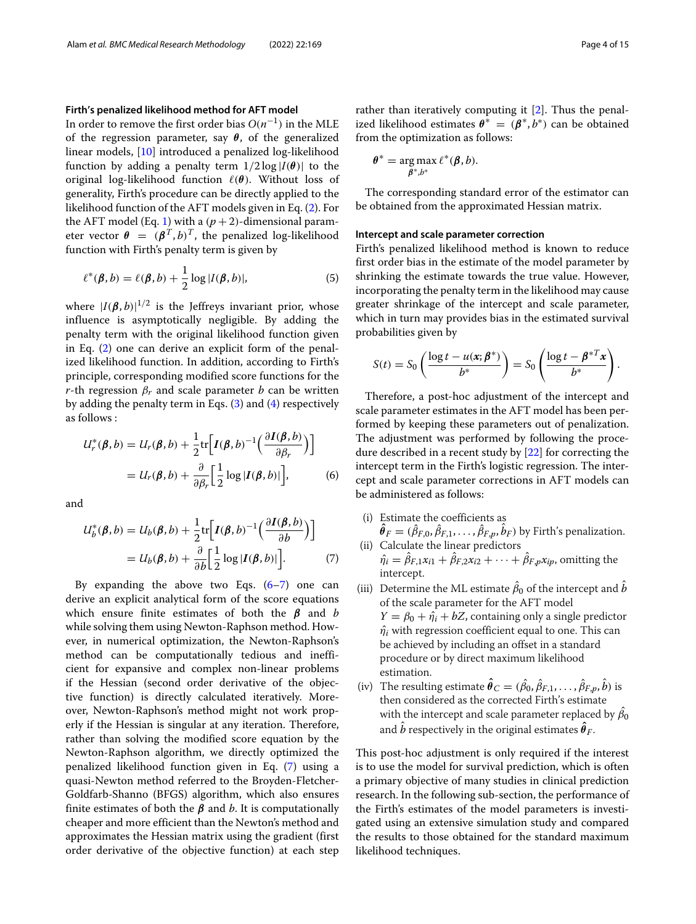#### **Firth's penalized likelihood method for AFT model**

In order to remove the first order bias  $O(n^{-1})$  in the MLE of the regression parameter, say *θ*, of the generalized linear models, [\[10\]](#page-14-0) introduced a penalized log-likelihood function by adding a penalty term  $1/2 \log |I(\theta)|$  to the original log-likelihood function (*θ*). Without loss of generality, Firth's procedure can be directly applied to the likelihood function of the AFT models given in Eq. [\(2\)](#page-2-2). For the AFT model (Eq. [1\)](#page-2-1) with a  $(p+2)$ -dimensional parameter vector  $\theta = (\beta^T, b)^T$ , the penalized log-likelihood function with Firth's penalty term is given by

$$
\ell^*(\boldsymbol{\beta},b) = \ell(\boldsymbol{\beta},b) + \frac{1}{2}\log|I(\boldsymbol{\beta},b)|,\tag{5}
$$

where  $|I(\boldsymbol{\beta},b)|^{1/2}$  is the Jeffreys invariant prior, whose influence is asymptotically negligible. By adding the penalty term with the original likelihood function given in Eq. [\(2\)](#page-2-2) one can derive an explicit form of the penalized likelihood function. In addition, according to Firth's principle, corresponding modified score functions for the *r*-th regression  $\beta_r$  and scale parameter *b* can be written by adding the penalty term in Eqs. [\(3\)](#page-2-3) and [\(4\)](#page-2-4) respectively as follows :

$$
U_r^*(\boldsymbol{\beta}, b) = U_r(\boldsymbol{\beta}, b) + \frac{1}{2} \text{tr} \Big[ I(\boldsymbol{\beta}, b)^{-1} \Big( \frac{\partial I(\boldsymbol{\beta}, b)}{\partial \beta_r} \Big) \Big] = U_r(\boldsymbol{\beta}, b) + \frac{\partial}{\partial \beta_r} \Big[ \frac{1}{2} \log |I(\boldsymbol{\beta}, b)| \Big],
$$
(6)

and

$$
U_b^*(\boldsymbol{\beta}, b) = U_b(\boldsymbol{\beta}, b) + \frac{1}{2} \text{tr} \Big[ I(\boldsymbol{\beta}, b)^{-1} \Big( \frac{\partial I(\boldsymbol{\beta}, b)}{\partial b} \Big) \Big]
$$
  
=  $U_b(\boldsymbol{\beta}, b) + \frac{\partial}{\partial b} \Big[ \frac{1}{2} \log |I(\boldsymbol{\beta}, b)| \Big].$  (7)

By expanding the above two Eqs.  $(6-7)$  $(6-7)$  one can derive an explicit analytical form of the score equations which ensure finite estimates of both the *β* and *b* while solving them using Newton-Raphson method. However, in numerical optimization, the Newton-Raphson's method can be computationally tedious and inefficient for expansive and complex non-linear problems if the Hessian (second order derivative of the objective function) is directly calculated iteratively. Moreover, Newton-Raphson's method might not work properly if the Hessian is singular at any iteration. Therefore, rather than solving the modified score equation by the Newton-Raphson algorithm, we directly optimized the penalized likelihood function given in Eq. [\(7\)](#page-3-1) using a quasi-Newton method referred to the Broyden-Fletcher-Goldfarb-Shanno (BFGS) algorithm, which also ensures finite estimates of both the *β* and *b*. It is computationally cheaper and more efficient than the Newton's method and approximates the Hessian matrix using the gradient (first order derivative of the objective function) at each step

rather than iteratively computing it [\[2\]](#page-14-22). Thus the penalized likelihood estimates  $\theta^* = (\beta^*, b^*)$  can be obtained from the optimization as follows:

$$
\theta^* = \arg\max_{\beta^*,b^*} \ell^*(\beta,b).
$$

The corresponding standard error of the estimator can be obtained from the approximated Hessian matrix.

# **Intercept and scale parameter correction**

Firth's penalized likelihood method is known to reduce first order bias in the estimate of the model parameter by shrinking the estimate towards the true value. However, incorporating the penalty term in the likelihood may cause greater shrinkage of the intercept and scale parameter, which in turn may provides bias in the estimated survival probabilities given by

$$
S(t) = S_0 \left( \frac{\log t - u(\mathbf{x}; \boldsymbol{\beta}^*)}{b^*} \right) = S_0 \left( \frac{\log t - \boldsymbol{\beta}^{*T} \mathbf{x}}{b^*} \right).
$$

Therefore, a post-hoc adjustment of the intercept and scale parameter estimates in the AFT model has been performed by keeping these parameters out of penalization. The adjustment was performed by following the procedure described in a recent study by [\[22\]](#page-14-19) for correcting the intercept term in the Firth's logistic regression. The intercept and scale parameter corrections in AFT models can be administered as follows:

- <span id="page-3-0"></span>(i) Estimate the coefficients as  $\theta_F = (\beta_{F,0}, \beta_{F,1}, \ldots, \beta_{F,p}, b_F)$  by Firth's penalization. (ii) Calculate the linear predictors
- <span id="page-3-1"></span> $\hat{\eta}_i = \hat{\beta}_{F,1}x_{i1} + \hat{\beta}_{F,2}x_{i2} + \cdots + \hat{\beta}_{F,p}x_{ip}$ , omitting the intercept.
- (iii) Determine the ML estimate  $\beta_0$  of the intercept and  $b$ of the scale parameter for the AFT model  $Y = \beta_0 + \hat{\eta}_i + bZ$ , containing only a single predictor  $\hat{\eta}_i$  with regression coefficient equal to one. This can be achieved by including an offset in a standard procedure or by direct maximum likelihood estimation.
- (iv) The resulting estimate  $\boldsymbol{\theta}_C = (\beta_0, \beta_{F,1}, \dots, \beta_{F,p}, b)$  is then considered as the corrected Firth's estimate with the intercept and scale parameter replaced by  $\beta_0$ and  $b$  respectively in the original estimates  $\pmb{\theta}_F$ .

This post-hoc adjustment is only required if the interest is to use the model for survival prediction, which is often a primary objective of many studies in clinical prediction research. In the following sub-section, the performance of the Firth's estimates of the model parameters is investigated using an extensive simulation study and compared the results to those obtained for the standard maximum likelihood techniques.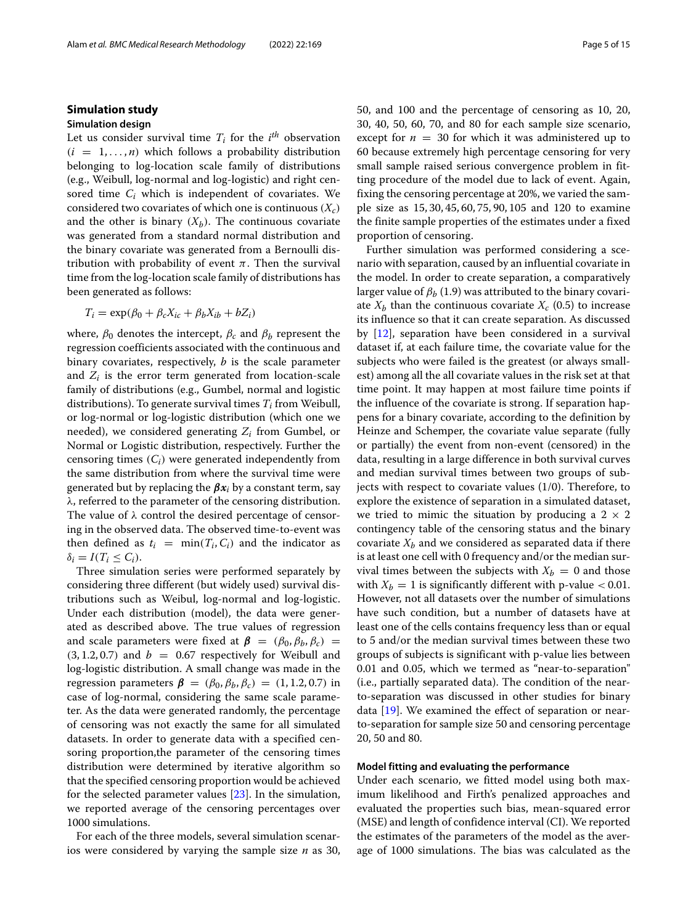#### <span id="page-4-0"></span>**Simulation study**

#### **Simulation design**

Let us consider survival time  $T_i$  for the  $i^{th}$  observation  $(i = 1, \ldots, n)$  which follows a probability distribution belonging to log-location scale family of distributions (e.g., Weibull, log-normal and log-logistic) and right censored time *Ci* which is independent of covariates. We considered two covariates of which one is continuous  $(X_c)$ and the other is binary  $(X_b)$ . The continuous covariate was generated from a standard normal distribution and the binary covariate was generated from a Bernoulli distribution with probability of event  $\pi$ . Then the survival time from the log-location scale family of distributions has been generated as follows:

$$
T_i = \exp(\beta_0 + \beta_c X_{ic} + \beta_b X_{ib} + bZ_i)
$$

where,  $\beta_0$  denotes the intercept,  $\beta_c$  and  $\beta_b$  represent the regression coefficients associated with the continuous and binary covariates, respectively, *b* is the scale parameter and  $Z_i$  is the error term generated from location-scale family of distributions (e.g., Gumbel, normal and logistic distributions). To generate survival times  $T_i$  from Weibull, or log-normal or log-logistic distribution (which one we needed), we considered generating *Zi* from Gumbel, or Normal or Logistic distribution, respectively. Further the censoring times (*Ci*) were generated independently from the same distribution from where the survival time were generated but by replacing the *βx<sup>i</sup>* by a constant term, say λ, referred to the parameter of the censoring distribution. The value of  $\lambda$  control the desired percentage of censoring in the observed data. The observed time-to-event was then defined as  $t_i = \min(T_i, C_i)$  and the indicator as  $\delta_i = I(T_i \leq C_i).$ 

Three simulation series were performed separately by considering three different (but widely used) survival distributions such as Weibul, log-normal and log-logistic. Under each distribution (model), the data were generated as described above. The true values of regression and scale parameters were fixed at  $\beta = (\beta_0, \beta_b, \beta_c)$  =  $(3, 1.2, 0.7)$  and  $b = 0.67$  respectively for Weibull and log-logistic distribution. A small change was made in the regression parameters  $\beta = (\beta_0, \beta_b, \beta_c) = (1, 1.2, 0.7)$  in case of log-normal, considering the same scale parameter. As the data were generated randomly, the percentage of censoring was not exactly the same for all simulated datasets. In order to generate data with a specified censoring proportion,the parameter of the censoring times distribution were determined by iterative algorithm so that the specified censoring proportion would be achieved for the selected parameter values [\[23\]](#page-14-23). In the simulation, we reported average of the censoring percentages over 1000 simulations.

For each of the three models, several simulation scenarios were considered by varying the sample size *n* as 30, 50, and 100 and the percentage of censoring as 10, 20, 30, 40, 50, 60, 70, and 80 for each sample size scenario, except for  $n = 30$  for which it was administered up to 60 because extremely high percentage censoring for very small sample raised serious convergence problem in fitting procedure of the model due to lack of event. Again, fixing the censoring percentage at 20%, we varied the sample size as 15, 30, 45, 60, 75, 90, 105 and 120 to examine the finite sample properties of the estimates under a fixed proportion of censoring.

Further simulation was performed considering a scenario with separation, caused by an influential covariate in the model. In order to create separation, a comparatively larger value of  $\beta_b$  (1.9) was attributed to the binary covariate  $X_b$  than the continuous covariate  $X_c$  (0.5) to increase its influence so that it can create separation. As discussed by [\[12\]](#page-14-1), separation have been considered in a survival dataset if, at each failure time, the covariate value for the subjects who were failed is the greatest (or always smallest) among all the all covariate values in the risk set at that time point. It may happen at most failure time points if the influence of the covariate is strong. If separation happens for a binary covariate, according to the definition by Heinze and Schemper, the covariate value separate (fully or partially) the event from non-event (censored) in the data, resulting in a large difference in both survival curves and median survival times between two groups of subjects with respect to covariate values (1/0). Therefore, to explore the existence of separation in a simulated dataset, we tried to mimic the situation by producing a  $2 \times 2$ contingency table of the censoring status and the binary covariate  $X_h$  and we considered as separated data if there is at least one cell with 0 frequency and/or the median survival times between the subjects with  $X_b = 0$  and those with  $X_b = 1$  is significantly different with p-value  $< 0.01$ . However, not all datasets over the number of simulations have such condition, but a number of datasets have at least one of the cells contains frequency less than or equal to 5 and/or the median survival times between these two groups of subjects is significant with p-value lies between 0.01 and 0.05, which we termed as "near-to-separation" (i.e., partially separated data). The condition of the nearto-separation was discussed in other studies for binary data  $[19]$ . We examined the effect of separation or nearto-separation for sample size 50 and censoring percentage 20, 50 and 80.

# **Model fitting and evaluating the performance**

Under each scenario, we fitted model using both maximum likelihood and Firth's penalized approaches and evaluated the properties such bias, mean-squared error (MSE) and length of confidence interval (CI). We reported the estimates of the parameters of the model as the average of 1000 simulations. The bias was calculated as the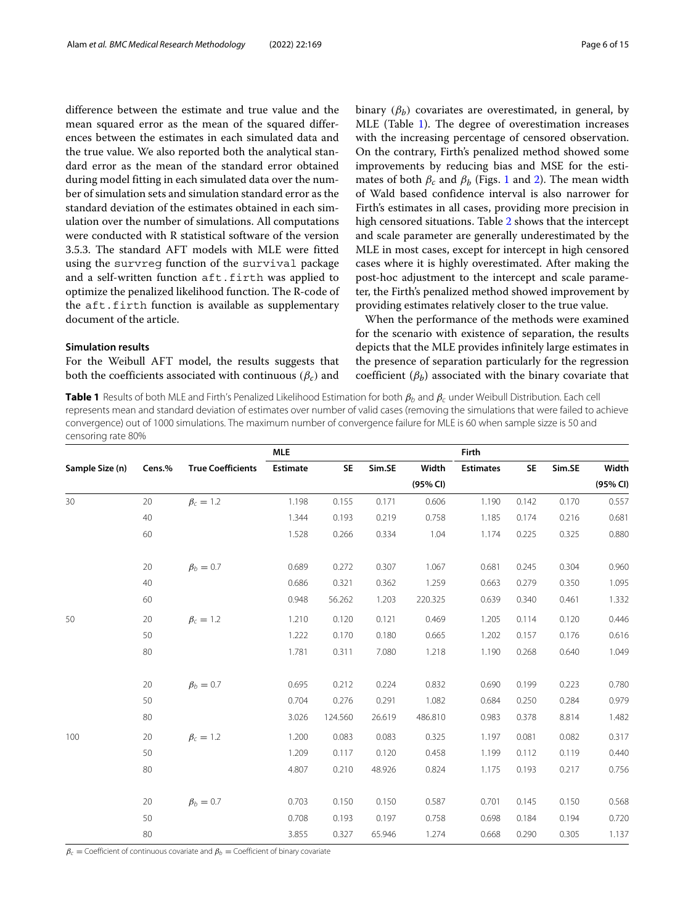difference between the estimate and true value and the mean squared error as the mean of the squared differences between the estimates in each simulated data and the true value. We also reported both the analytical standard error as the mean of the standard error obtained during model fitting in each simulated data over the number of simulation sets and simulation standard error as the standard deviation of the estimates obtained in each simulation over the number of simulations. All computations were conducted with R statistical software of the version 3.5.3. The standard AFT models with MLE were fitted using the survreg function of the survival package and a self-written function  $aft.firth$  was applied to optimize the penalized likelihood function. The R-code of the aft.firth function is available as supplementary document of the article.

# **Simulation results**

For the Weibull AFT model, the results suggests that both the coefficients associated with continuous  $(\beta_c)$  and binary  $(\beta_h)$  covariates are overestimated, in general, by MLE (Table [1\)](#page-5-0). The degree of overestimation increases with the increasing percentage of censored observation. On the contrary, Firth's penalized method showed some improvements by reducing bias and MSE for the estimates of both  $\beta_c$  and  $\beta_b$  (Figs. [1](#page-6-0) and [2\)](#page-7-0). The mean width of Wald based confidence interval is also narrower for Firth's estimates in all cases, providing more precision in high censored situations. Table [2](#page-8-0) shows that the intercept and scale parameter are generally underestimated by the MLE in most cases, except for intercept in high censored cases where it is highly overestimated. After making the post-hoc adjustment to the intercept and scale parameter, the Firth's penalized method showed improvement by providing estimates relatively closer to the true value.

When the performance of the methods were examined for the scenario with existence of separation, the results depicts that the MLE provides infinitely large estimates in the presence of separation particularly for the regression coefficient  $(\beta_b)$  associated with the binary covariate that

<span id="page-5-0"></span>**Table 1** Results of both MLE and Firth's Penalized Likelihood Estimation for both  $\beta_b$  and  $\beta_c$  under Weibull Distribution. Each cell represents mean and standard deviation of estimates over number of valid cases (removing the simulations that were failed to achieve convergence) out of 1000 simulations. The maximum number of convergence failure for MLE is 60 when sample sizze is 50 and censoring rate 80%

|                 |        |                          | <b>MLE</b> |         |        |          | Firth            |           |                                                                                                                                     |          |
|-----------------|--------|--------------------------|------------|---------|--------|----------|------------------|-----------|-------------------------------------------------------------------------------------------------------------------------------------|----------|
| Sample Size (n) | Cens.% | <b>True Coefficients</b> | Estimate   | SE      | Sim.SE | Width    | <b>Estimates</b> | <b>SE</b> | Sim.SE                                                                                                                              | Width    |
|                 |        |                          |            |         |        | (95% CI) |                  |           |                                                                                                                                     | (95% CI) |
| 30              | 20     | $\beta_c = 1.2$          | 1.198      | 0.155   | 0.171  | 0.606    | 1.190            | 0.142     | 0.170                                                                                                                               | 0.557    |
|                 | 40     |                          | 1.344      | 0.193   | 0.219  | 0.758    | 1.185            | 0.174     | 0.216                                                                                                                               | 0.681    |
|                 | 60     |                          | 1.528      | 0.266   | 0.334  | 1.04     | 1.174            | 0.225     | 0.325<br>0.304<br>0.350<br>0.461<br>0.120<br>0.176<br>0.640<br>0.223<br>0.284<br>8.814<br>0.082<br>0.119<br>0.217<br>0.150<br>0.194 | 0.880    |
|                 | 20     | $\beta_b=0.7$            | 0.689      | 0.272   | 0.307  | 1.067    | 0.681            | 0.245     |                                                                                                                                     | 0.960    |
|                 | 40     |                          | 0.686      | 0.321   | 0.362  | 1.259    | 0.663            | 0.279     |                                                                                                                                     | 1.095    |
|                 | 60     |                          | 0.948      | 56.262  | 1.203  | 220.325  | 0.639            | 0.340     |                                                                                                                                     | 1.332    |
| 50              | 20     | $\beta_c = 1.2$          | 1.210      | 0.120   | 0.121  | 0.469    | 1.205            | 0.114     |                                                                                                                                     | 0.446    |
|                 | 50     |                          | 1.222      | 0.170   | 0.180  | 0.665    | 1.202            | 0.157     |                                                                                                                                     | 0.616    |
|                 | 80     |                          | 1.781      | 0.311   | 7.080  | 1.218    | 1.190            | 0.268     |                                                                                                                                     | 1.049    |
|                 | 20     | $\beta_b = 0.7$          | 0.695      | 0.212   | 0.224  | 0.832    | 0.690            | 0.199     |                                                                                                                                     | 0.780    |
|                 | 50     |                          | 0.704      | 0.276   | 0.291  | 1.082    | 0.684            | 0.250     |                                                                                                                                     | 0.979    |
|                 | 80     |                          | 3.026      | 124.560 | 26.619 | 486.810  | 0.983            | 0.378     |                                                                                                                                     | 1.482    |
| 100             | 20     | $\beta_c = 1.2$          | 1.200      | 0.083   | 0.083  | 0.325    | 1.197            | 0.081     |                                                                                                                                     | 0.317    |
|                 | 50     |                          | 1.209      | 0.117   | 0.120  | 0.458    | 1.199            | 0.112     |                                                                                                                                     | 0.440    |
|                 | 80     |                          | 4.807      | 0.210   | 48.926 | 0.824    | 1.175            | 0.193     |                                                                                                                                     | 0.756    |
|                 | 20     | $\beta_b = 0.7$          | 0.703      | 0.150   | 0.150  | 0.587    | 0.701            | 0.145     |                                                                                                                                     | 0.568    |
|                 | 50     |                          | 0.708      | 0.193   | 0.197  | 0.758    | 0.698            | 0.184     |                                                                                                                                     | 0.720    |
|                 | 80     |                          | 3.855      | 0.327   | 65.946 | 1.274    | 0.668            | 0.290     | 0.305                                                                                                                               | 1.137    |

 $\beta_c$  = Coefficient of continuous covariate and  $\beta_b$  = Coefficient of binary covariate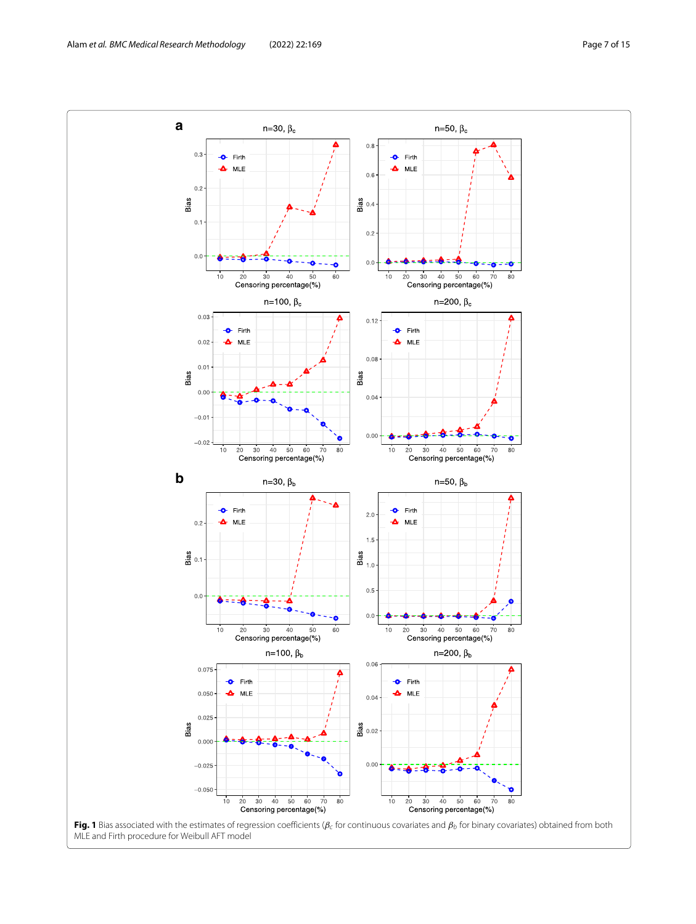<span id="page-6-0"></span>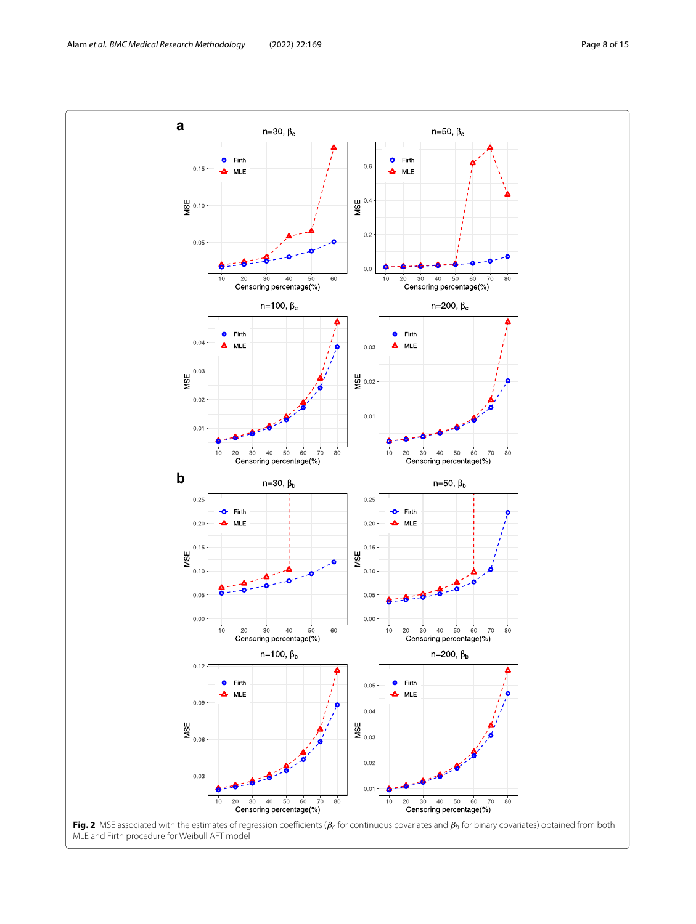<span id="page-7-0"></span>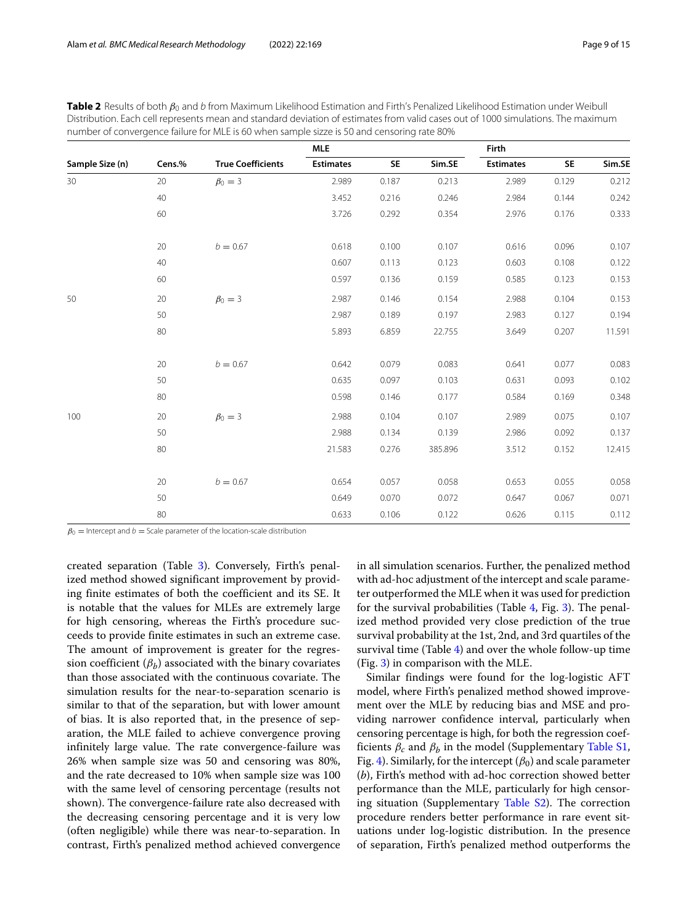|                 |        |                          | <b>MLE</b>       |           |         | Firth            |                         |        |
|-----------------|--------|--------------------------|------------------|-----------|---------|------------------|-------------------------|--------|
| Sample Size (n) | Cens.% | <b>True Coefficients</b> | <b>Estimates</b> | <b>SE</b> | Sim.SE  | <b>Estimates</b> | <b>SE</b>               | Sim.SE |
| 30              | 20     | $\beta_0 = 3$            | 2.989            | 0.187     | 0.213   | 2.989            | 0.129                   | 0.212  |
|                 | 40     |                          | 3.452            | 0.216     | 0.246   | 2.984            | 0.144                   | 0.242  |
|                 | 60     |                          | 3.726            | 0.292     | 0.354   | 2.976            | 0.176                   | 0.333  |
|                 | 20     | $b = 0.67$               | 0.618            | 0.100     | 0.107   | 0.616            | 0.096                   | 0.107  |
|                 | 40     |                          | 0.607            | 0.113     | 0.123   | 0.603            | 0.108                   | 0.122  |
|                 | 60     |                          | 0.597            | 0.136     | 0.159   | 0.585            | 0.123                   | 0.153  |
| 50              | 20     | $\beta_0 = 3$            | 2.987            | 0.146     | 0.154   | 2.988            | 0.104                   | 0.153  |
|                 | 50     |                          | 2.987            | 0.189     | 0.197   | 2.983            | 0.127                   | 0.194  |
|                 | 80     |                          | 5.893            | 6.859     | 22.755  | 3.649            | 0.207<br>0.077          | 11.591 |
|                 | 20     | $b = 0.67$               | 0.642            | 0.079     | 0.083   | 0.641            |                         | 0.083  |
|                 | 50     |                          | 0.635            | 0.097     | 0.103   | 0.631            | 0.093                   | 0.102  |
|                 | 80     |                          | 0.598            | 0.146     | 0.177   | 0.584            | 0.169                   | 0.348  |
| 100             | 20     | $\beta_0 = 3$            | 2.988            | 0.104     | 0.107   | 2.989            | 0.075                   | 0.107  |
|                 | 50     |                          | 2.988            | 0.134     | 0.139   | 2.986            | 0.092                   | 0.137  |
|                 | 80     |                          | 21.583           | 0.276     | 385.896 | 3.512            | 0.152                   | 12.415 |
|                 | 20     | $b = 0.67$               | 0.654            | 0.057     | 0.058   | 0.653            | 0.055<br>0.067<br>0.115 | 0.058  |
|                 | 50     |                          | 0.649            | 0.070     | 0.072   | 0.647            |                         | 0.071  |
|                 | 80     |                          | 0.633            | 0.106     | 0.122   | 0.626            |                         | 0.112  |

<span id="page-8-0"></span>**Table 2** Results of both  $β_0$  and b from Maximum Likelihood Estimation and Firth's Penalized Likelihood Estimation under Weibull Distribution. Each cell represents mean and standard deviation of estimates from valid cases out of 1000 simulations. The maximum number of convergence failure for MLE is 60 when sample sizze is 50 and censoring rate 80%

 $\beta_0$  = Intercept and b = Scale parameter of the location-scale distribution

created separation (Table [3\)](#page-9-0). Conversely, Firth's penalized method showed significant improvement by providing finite estimates of both the coefficient and its SE. It is notable that the values for MLEs are extremely large for high censoring, whereas the Firth's procedure succeeds to provide finite estimates in such an extreme case. The amount of improvement is greater for the regression coefficient  $(\beta_h)$  associated with the binary covariates than those associated with the continuous covariate. The simulation results for the near-to-separation scenario is similar to that of the separation, but with lower amount of bias. It is also reported that, in the presence of separation, the MLE failed to achieve convergence proving infinitely large value. The rate convergence-failure was 26% when sample size was 50 and censoring was 80%, and the rate decreased to 10% when sample size was 100 with the same level of censoring percentage (results not shown). The convergence-failure rate also decreased with the decreasing censoring percentage and it is very low (often negligible) while there was near-to-separation. In contrast, Firth's penalized method achieved convergence

in all simulation scenarios. Further, the penalized method with ad-hoc adjustment of the intercept and scale parameter outperformed the MLE when it was used for prediction for the survival probabilities (Table [4,](#page-9-1) Fig. [3\)](#page-9-2). The penalized method provided very close prediction of the true survival probability at the 1st, 2nd, and 3rd quartiles of the survival time (Table [4\)](#page-9-1) and over the whole follow-up time (Fig. [3\)](#page-9-2) in comparison with the MLE.

Similar findings were found for the log-logistic AFT model, where Firth's penalized method showed improvement over the MLE by reducing bias and MSE and providing narrower confidence interval, particularly when censoring percentage is high, for both the regression coefficients  $\beta_c$  and  $\beta_b$  in the model (Supplementary Table S1, Fig. [4\)](#page-10-1). Similarly, for the intercept  $(\beta_0)$  and scale parameter (*b*), Firth's method with ad-hoc correction showed better performance than the MLE, particularly for high censoring situation (Supplementary Table S2). The correction procedure renders better performance in rare event situations under log-logistic distribution. In the presence of separation, Firth's penalized method outperforms the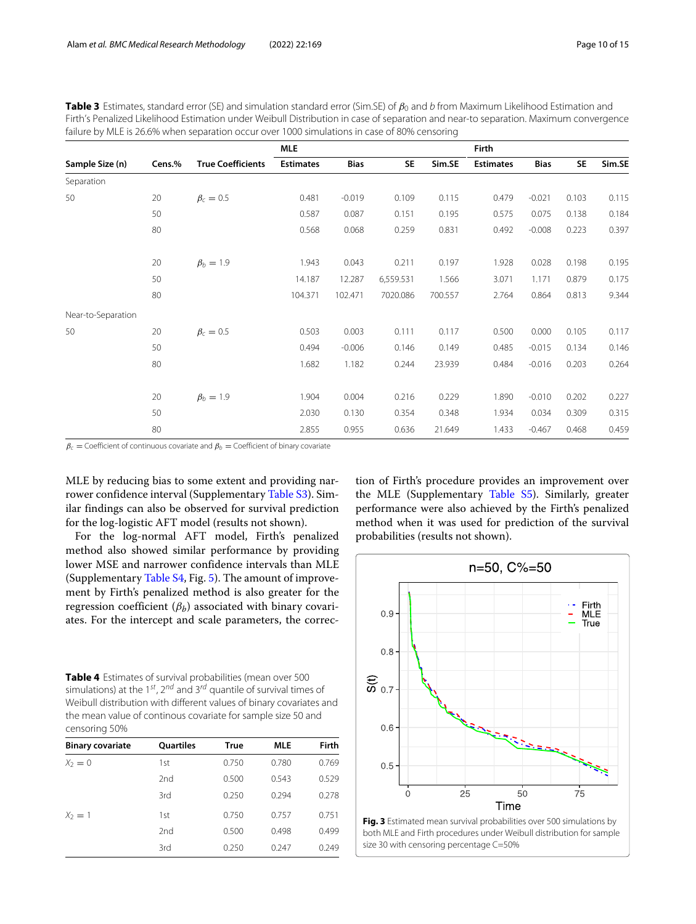|                    |                                                                                                                                                                                                                                                                                                                                                                                                                                                                                                                                     | <b>MLE</b> |        |                  |             | Firth     |                                                                                                                                                                            |       |       |
|--------------------|-------------------------------------------------------------------------------------------------------------------------------------------------------------------------------------------------------------------------------------------------------------------------------------------------------------------------------------------------------------------------------------------------------------------------------------------------------------------------------------------------------------------------------------|------------|--------|------------------|-------------|-----------|----------------------------------------------------------------------------------------------------------------------------------------------------------------------------|-------|-------|
| Sample Size (n)    | failure by MLE is 26.6% when separation occur over 1000 simulations in case of 80% censoring<br><b>True Coefficients</b><br><b>Estimates</b><br>Cens.%<br><b>Bias</b><br>$\beta_c=0.5$<br>$-0.019$<br>0.481<br>20<br>50<br>0.587<br>0.087<br>80<br>0.568<br>0.068<br>$\beta_b = 1.9$<br>20<br>1.943<br>0.043<br>50<br>14.187<br>12.287<br>80<br>104.371<br>102.471<br>$\beta_c = 0.5$<br>20<br>0.503<br>0.003<br>0.494<br>$-0.006$<br>50<br>80<br>1.182<br>1.682<br>$\beta_h = 1.9$<br>1.904<br>0.004<br>20<br>50<br>2.030<br>0.130 | <b>SE</b>  | Sim.SE | <b>Estimates</b> | <b>Bias</b> | <b>SE</b> | Sim.SE                                                                                                                                                                     |       |       |
| Separation         |                                                                                                                                                                                                                                                                                                                                                                                                                                                                                                                                     |            |        |                  |             |           |                                                                                                                                                                            |       |       |
| 50                 |                                                                                                                                                                                                                                                                                                                                                                                                                                                                                                                                     |            |        | 0.109            | 0.115       | 0.479     | $-0.021$                                                                                                                                                                   | 0.103 | 0.115 |
|                    |                                                                                                                                                                                                                                                                                                                                                                                                                                                                                                                                     |            |        | 0.151            | 0.195       | 0.575     | 0.075<br>0.138<br>$-0.008$<br>0.223<br>0.028<br>0.198<br>1.171<br>0.879<br>0.864<br>0.813<br>0.000<br>0.105<br>$-0.015$<br>0.134<br>$-0.016$<br>0.203<br>$-0.010$<br>0.202 | 0.184 |       |
|                    |                                                                                                                                                                                                                                                                                                                                                                                                                                                                                                                                     |            |        | 0.259            | 0.831       | 0.492     |                                                                                                                                                                            | 0.309 | 0.397 |
|                    |                                                                                                                                                                                                                                                                                                                                                                                                                                                                                                                                     |            |        | 0.211            | 0.197       | 1.928     |                                                                                                                                                                            |       | 0.195 |
|                    |                                                                                                                                                                                                                                                                                                                                                                                                                                                                                                                                     |            |        | 6,559.531        | 1.566       | 3.071     |                                                                                                                                                                            |       | 0.175 |
|                    |                                                                                                                                                                                                                                                                                                                                                                                                                                                                                                                                     |            |        | 7020.086         | 700.557     | 2.764     |                                                                                                                                                                            |       | 9.344 |
| Near-to-Separation |                                                                                                                                                                                                                                                                                                                                                                                                                                                                                                                                     |            |        |                  |             |           |                                                                                                                                                                            |       |       |
| 50                 |                                                                                                                                                                                                                                                                                                                                                                                                                                                                                                                                     |            |        | 0.111            | 0.117       | 0.500     |                                                                                                                                                                            |       | 0.117 |
|                    |                                                                                                                                                                                                                                                                                                                                                                                                                                                                                                                                     |            |        | 0.146            | 0.149       | 0.485     |                                                                                                                                                                            |       | 0.146 |
|                    |                                                                                                                                                                                                                                                                                                                                                                                                                                                                                                                                     |            |        | 0.244            | 23.939      | 0.484     |                                                                                                                                                                            |       | 0.264 |
|                    |                                                                                                                                                                                                                                                                                                                                                                                                                                                                                                                                     |            |        | 0.216            | 0.229       | 1.890     |                                                                                                                                                                            |       | 0.227 |
|                    |                                                                                                                                                                                                                                                                                                                                                                                                                                                                                                                                     |            |        | 0.354            | 0.348       | 1.934     | 0.034                                                                                                                                                                      |       | 0.315 |
|                    | 80                                                                                                                                                                                                                                                                                                                                                                                                                                                                                                                                  | 2.855      | 0.955  | 0.636            | 21.649      | 1.433     | $-0.467$                                                                                                                                                                   | 0.468 | 0.459 |

<span id="page-9-0"></span>**Table 3** Estimates, standard error (SE) and simulation standard error (Sim.SE) of  $\beta_0$  and b from Maximum Likelihood Estimation and Firth's Penalized Likelihood Estimation under Weibull Distribution in case of separation and near-to separation. Maximum convergence

 $\beta_c$  = Coefficient of continuous covariate and  $\beta_b$  = Coefficient of binary covariate

MLE by reducing bias to some extent and providing narrower confidence interval (Supplementary Table S3). Similar findings can also be observed for survival prediction for the log-logistic AFT model (results not shown).

For the log-normal AFT model, Firth's penalized method also showed similar performance by providing lower MSE and narrower confidence intervals than MLE (Supplementary Table S4, Fig. [5\)](#page-11-0). The amount of improvement by Firth's penalized method is also greater for the regression coefficient  $(β<sub>b</sub>)$  associated with binary covariates. For the intercept and scale parameters, the correc-

<span id="page-9-1"></span>**Table 4** Estimates of survival probabilities (mean over 500 simulations) at the 1<sup>st</sup>, 2<sup>nd</sup> and 3<sup>rd</sup> quantile of survival times of Weibull distribution with different values of binary covariates and the mean value of continous covariate for sample size 50 and censoring 50%

| <b>Binary covariate</b> | <b>Ouartiles</b> | <b>True</b> | <b>MLE</b> | Firth |
|-------------------------|------------------|-------------|------------|-------|
| $X_2=0$                 | 1st              | 0.750       | 0.780      | 0.769 |
|                         | 2nd              | 0.500       | 0.543      | 0.529 |
|                         | 3rd              | 0.250       | 0.294      | 0.278 |
| $X_2 = 1$               | 1st              | 0.750       | 0.757      | 0.751 |
|                         | 2nd              | 0.500       | 0.498      | 0.499 |
|                         | 3rd              | 0.250       | 0.247      | 0.249 |

tion of Firth's procedure provides an improvement over the MLE (Supplementary Table S5). Similarly, greater performance were also achieved by the Firth's penalized method when it was used for prediction of the survival probabilities (results not shown).



<span id="page-9-2"></span>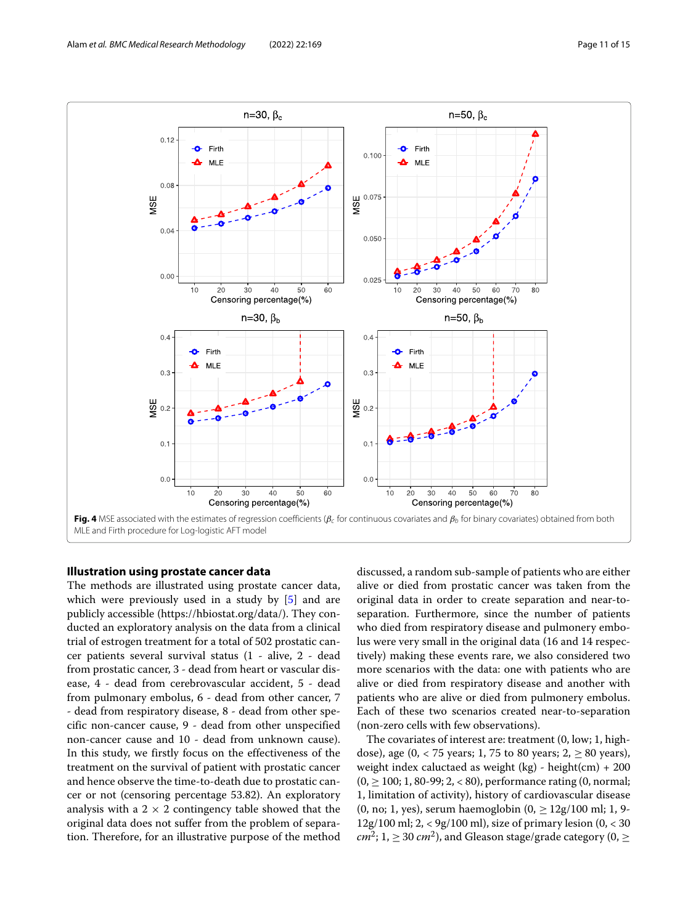

# <span id="page-10-1"></span><span id="page-10-0"></span>**Illustration using prostate cancer data**

The methods are illustrated using prostate cancer data, which were previously used in a study by [\[5\]](#page-14-20) and are publicly accessible (https://hbiostat.org/data/). They conducted an exploratory analysis on the data from a clinical trial of estrogen treatment for a total of 502 prostatic cancer patients several survival status (1 - alive, 2 - dead from prostatic cancer, 3 - dead from heart or vascular disease, 4 - dead from cerebrovascular accident, 5 - dead from pulmonary embolus, 6 - dead from other cancer, 7 - dead from respiratory disease, 8 - dead from other specific non-cancer cause, 9 - dead from other unspecified non-cancer cause and 10 - dead from unknown cause). In this study, we firstly focus on the effectiveness of the treatment on the survival of patient with prostatic cancer and hence observe the time-to-death due to prostatic cancer or not (censoring percentage 53.82). An exploratory analysis with a  $2 \times 2$  contingency table showed that the original data does not suffer from the problem of separation. Therefore, for an illustrative purpose of the method

discussed, a random sub-sample of patients who are either alive or died from prostatic cancer was taken from the original data in order to create separation and near-toseparation. Furthermore, since the number of patients who died from respiratory disease and pulmonery embolus were very small in the original data (16 and 14 respectively) making these events rare, we also considered two more scenarios with the data: one with patients who are alive or died from respiratory disease and another with patients who are alive or died from pulmonery embolus. Each of these two scenarios created near-to-separation (non-zero cells with few observations).

The covariates of interest are: treatment (0, low; 1, highdose), age (0, < 75 years; 1, 75 to 80 years;  $2, \ge 80$  years), weight index caluctaed as weight  $(kg)$  - height $(cm) + 200$  $(0, \ge 100; 1, 80-99; 2, < 80)$ , performance rating  $(0,$  normal; 1, limitation of activity), history of cardiovascular disease (0, no; 1, yes), serum haemoglobin  $(0, \geq 12g/100 \text{ ml}; 1, 9-100)$ 12g/100 ml; 2, < 9g/100 ml), size of primary lesion (0, < 30  $cm^2$ ; 1,  $\geq$  30  $cm^2$ ), and Gleason stage/grade category (0,  $\geq$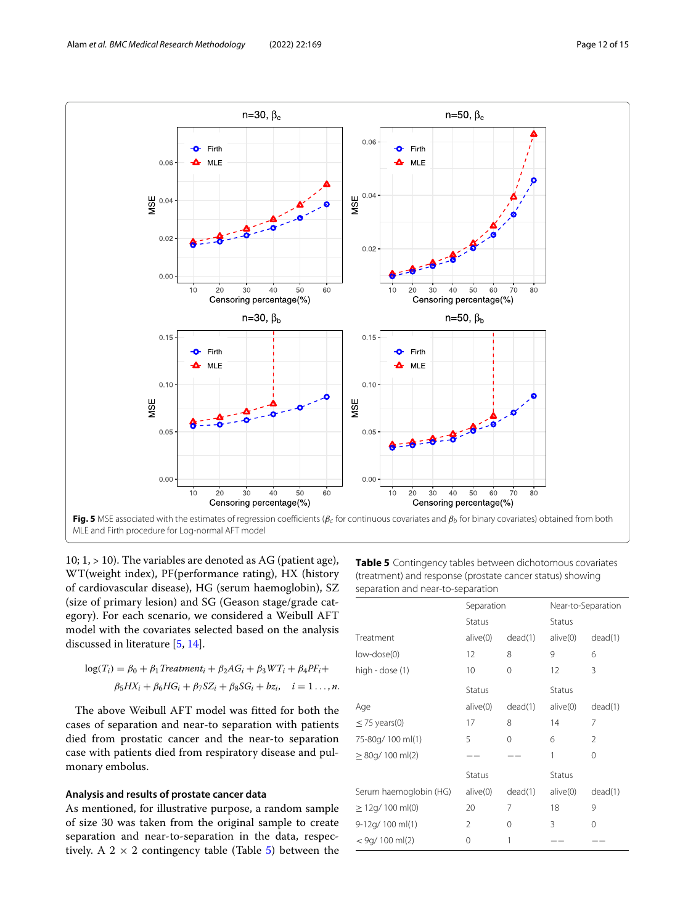

<span id="page-11-0"></span>10; 1, > 10). The variables are denoted as AG (patient age), WT(weight index), PF(performance rating), HX (history of cardiovascular disease), HG (serum haemoglobin), SZ (size of primary lesion) and SG (Geason stage/grade category). For each scenario, we considered a Weibull AFT model with the covariates selected based on the analysis discussed in literature [\[5,](#page-14-20) [14\]](#page-14-24).

$$
log(T_i) = \beta_0 + \beta_1 Treatment_i + \beta_2AG_i + \beta_3WT_i + \beta_4PF_i +
$$
  

$$
\beta_5HX_i + \beta_6HG_i + \beta_7SZ_i + \beta_8SG_i + bz_i, \quad i = 1 \dots, n.
$$

The above Weibull AFT model was fitted for both the cases of separation and near-to separation with patients died from prostatic cancer and the near-to separation case with patients died from respiratory disease and pulmonary embolus.

# **Analysis and results of prostate cancer data**

As mentioned, for illustrative purpose, a random sample of size 30 was taken from the original sample to create separation and near-to-separation in the data, respectively. A  $2 \times 2$  contingency table (Table [5\)](#page-11-1) between the <span id="page-11-1"></span>**Table 5** Contingency tables between dichotomous covariates (treatment) and response (prostate cancer status) showing separation and near-to-separation

|                        | Separation |         | Near-to-Separation |         |
|------------------------|------------|---------|--------------------|---------|
|                        | Status     |         | Status             |         |
| Treatment              | alive(0)   | dead(1) | alive(0)           | dead(1) |
| low-dose(0)            | 12         | 8       | 9                  | 6       |
| high - dose (1)        | 10         | 0       | 12                 | 3       |
|                        | Status     |         | Status             |         |
| Age                    | alive(0)   | dead(1) | alive(0)           | dead(1) |
| $\leq$ 75 years(0)     | 17         | 8       | 14                 | 7       |
| 75-80g/ 100 ml(1)      | 5          | 0       | 6                  | 2       |
| $\geq$ 80g/ 100 ml(2)  |            |         | 1                  | 0       |
|                        | Status     |         | Status             |         |
| Serum haemoglobin (HG) | alive(0)   | dead(1) | alive(0)           | dead(1) |
| $\geq$ 12g/ 100 ml(0)  | 20         | 7       | 18                 | 9       |
| 9-12g/ 100 ml(1)       | 2          | 0       | 3                  | 0       |
| $<$ 9g/ 100 ml(2)      | 0          | 1       |                    |         |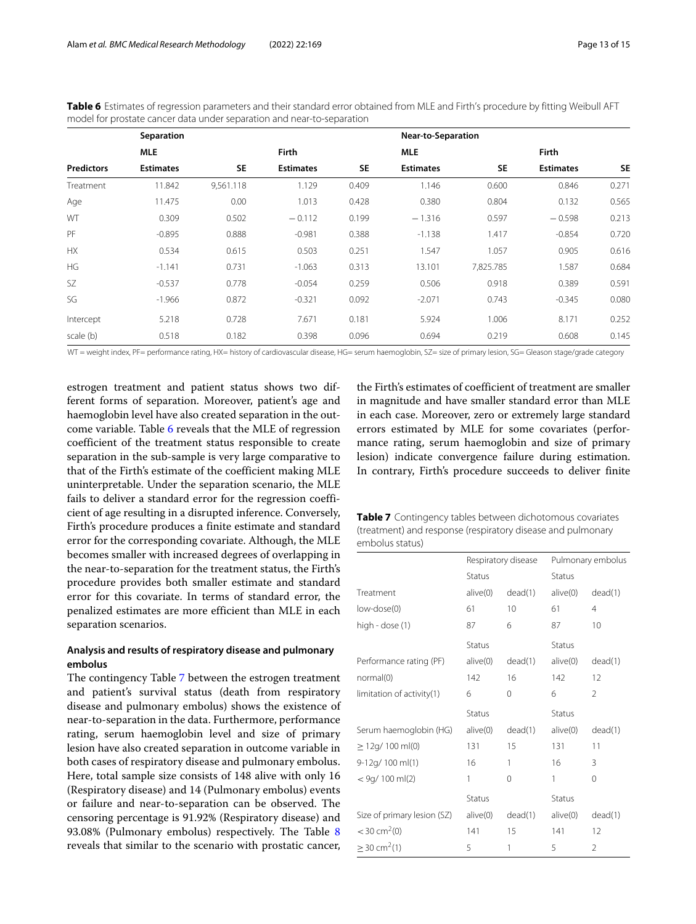<span id="page-12-0"></span>**Table 6** Estimates of regression parameters and their standard error obtained from MLE and Firth's procedure by fitting Weibull AFT model for prostate cancer data under separation and near-to-separation

|                   | Separation       |           |                  |           | Near-to-Separation |           |                  |           |
|-------------------|------------------|-----------|------------------|-----------|--------------------|-----------|------------------|-----------|
|                   | <b>MLE</b>       |           | Firth            |           | <b>MLE</b>         |           | <b>Firth</b>     |           |
| <b>Predictors</b> | <b>Estimates</b> | <b>SE</b> | <b>Estimates</b> | <b>SE</b> | <b>Estimates</b>   | <b>SE</b> | <b>Estimates</b> | <b>SE</b> |
| Treatment         | 11.842           | 9,561.118 | 1.129            | 0.409     | 1.146              | 0.600     | 0.846            | 0.271     |
| Age               | 11.475           | 0.00      | 1.013            | 0.428     | 0.380              | 0.804     | 0.132            | 0.565     |
| WT                | 0.309            | 0.502     | $-0.112$         | 0.199     | $-1.316$           | 0.597     | $-0.598$         | 0.213     |
| PF                | $-0.895$         | 0.888     | $-0.981$         | 0.388     | $-1.138$           | 1.417     | $-0.854$         | 0.720     |
| <b>HX</b>         | 0.534            | 0.615     | 0.503            | 0.251     | 1.547              | 1.057     | 0.905            | 0.616     |
| <b>HG</b>         | $-1.141$         | 0.731     | $-1.063$         | 0.313     | 13.101             | 7,825.785 | 1.587            | 0.684     |
| <b>SZ</b>         | $-0.537$         | 0.778     | $-0.054$         | 0.259     | 0.506              | 0.918     | 0.389            | 0.591     |
| SG                | $-1.966$         | 0.872     | $-0.321$         | 0.092     | $-2.071$           | 0.743     | $-0.345$         | 0.080     |
| Intercept         | 5.218            | 0.728     | 7.671            | 0.181     | 5.924              | 1.006     | 8.171            | 0.252     |
| scale (b)         | 0.518            | 0.182     | 0.398            | 0.096     | 0.694              | 0.219     | 0.608            | 0.145     |

WT = weight index, PF= performance rating, HX= history of cardiovascular disease, HG= serum haemoglobin, SZ= size of primary lesion, SG= Gleason stage/grade category

estrogen treatment and patient status shows two different forms of separation. Moreover, patient's age and haemoglobin level have also created separation in the outcome variable. Table [6](#page-12-0) reveals that the MLE of regression coefficient of the treatment status responsible to create separation in the sub-sample is very large comparative to that of the Firth's estimate of the coefficient making MLE uninterpretable. Under the separation scenario, the MLE fails to deliver a standard error for the regression coefficient of age resulting in a disrupted inference. Conversely, Firth's procedure produces a finite estimate and standard error for the corresponding covariate. Although, the MLE becomes smaller with increased degrees of overlapping in the near-to-separation for the treatment status, the Firth's procedure provides both smaller estimate and standard error for this covariate. In terms of standard error, the penalized estimates are more efficient than MLE in each separation scenarios.

# **Analysis and results of respiratory disease and pulmonary embolus**

The contingency Table [7](#page-12-1) between the estrogen treatment and patient's survival status (death from respiratory disease and pulmonary embolus) shows the existence of near-to-separation in the data. Furthermore, performance rating, serum haemoglobin level and size of primary lesion have also created separation in outcome variable in both cases of respiratory disease and pulmonary embolus. Here, total sample size consists of 148 alive with only 16 (Respiratory disease) and 14 (Pulmonary embolus) events or failure and near-to-separation can be observed. The censoring percentage is 91.92% (Respiratory disease) and 93.08% (Pulmonary embolus) respectively. The Table [8](#page-13-1) reveals that similar to the scenario with prostatic cancer,

the Firth's estimates of coefficient of treatment are smaller in magnitude and have smaller standard error than MLE in each case. Moreover, zero or extremely large standard errors estimated by MLE for some covariates (performance rating, serum haemoglobin and size of primary lesion) indicate convergence failure during estimation. In contrary, Firth's procedure succeeds to deliver finite

<span id="page-12-1"></span>

| <b>Table 7</b> Contingency tables between dichotomous covariates |
|------------------------------------------------------------------|
| (treatment) and response (respiratory disease and pulmonary      |
| embolus status) .                                                |

|                             | Respiratory disease |         |          | Pulmonary embolus |
|-----------------------------|---------------------|---------|----------|-------------------|
|                             | Status              |         | Status   |                   |
| Treatment                   | alive(0)            | dead(1) | alive(0) | dead(1)           |
| low-dose(0)                 | 61                  | 10      | 61       | 4                 |
| high - dose (1)             | 87                  | 6       | 87       | 10                |
|                             | Status              |         | Status   |                   |
| Performance rating (PF)     | alive(0)            | dead(1) | alive(0) | dead(1)           |
| normal(0)                   | 142                 | 16      | 142      | 12                |
| limitation of activity(1)   | 6                   | 0       | 6        | 2                 |
|                             | Status              |         | Status   |                   |
| Serum haemoglobin (HG)      | alive(0)            | dead(1) | alive(0) | dead(1)           |
| $\geq$ 12g/ 100 ml(0)       | 131                 | 15      | 131      | 11                |
| 9-12g/ 100 ml(1)            | 16                  | 1       | 16       | 3                 |
| $<$ 9g/ 100 ml(2)           | 1                   | 0       | 1        | 0                 |
|                             | Status              |         | Status   |                   |
| Size of primary lesion (SZ) | alive(0)            | dead(1) | alive(0) | dead(1)           |
| $<$ 30 cm <sup>2</sup> (0)  | 141                 | 15      | 141      | 12                |
| $>$ 30 cm <sup>2</sup> (1)  | 5                   | 1       | 5        | $\overline{2}$    |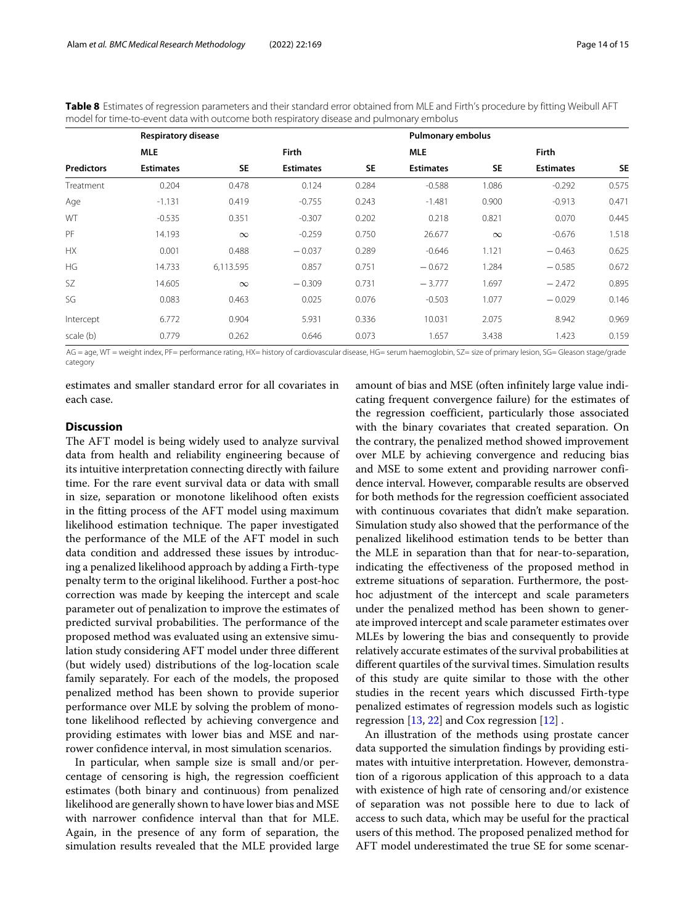<span id="page-13-1"></span>**Table 8** Estimates of regression parameters and their standard error obtained from MLE and Firth's procedure by fitting Weibull AFT model for time-to-event data with outcome both respiratory disease and pulmonary embolus

|                   | <b>Respiratory disease</b> |           | <b>Pulmonary embolus</b> |           |                  |           |                  |           |
|-------------------|----------------------------|-----------|--------------------------|-----------|------------------|-----------|------------------|-----------|
|                   | <b>MLE</b>                 |           | <b>Firth</b>             |           | <b>MLE</b>       |           | Firth            |           |
| <b>Predictors</b> | <b>Estimates</b>           | <b>SE</b> | <b>Estimates</b>         | <b>SE</b> | <b>Estimates</b> | <b>SE</b> | <b>Estimates</b> | <b>SE</b> |
| Treatment         | 0.204                      | 0.478     | 0.124                    | 0.284     | $-0.588$         | 1.086     | $-0.292$         | 0.575     |
| Age               | $-1.131$                   | 0.419     | $-0.755$                 | 0.243     | $-1.481$         | 0.900     | $-0.913$         | 0.471     |
| WT                | $-0.535$                   | 0.351     | $-0.307$                 | 0.202     | 0.218            | 0.821     | 0.070            | 0.445     |
| PF                | 14.193                     | $\infty$  | $-0.259$                 | 0.750     | 26.677           | $\infty$  | $-0.676$         | 1.518     |
| <b>HX</b>         | 0.001                      | 0.488     | $-0.037$                 | 0.289     | $-0.646$         | 1.121     | $-0.463$         | 0.625     |
| HG                | 14.733                     | 6,113.595 | 0.857                    | 0.751     | $-0.672$         | 1.284     | $-0.585$         | 0.672     |
| SZ.               | 14.605                     | $\infty$  | $-0.309$                 | 0.731     | $-3.777$         | 1.697     | $-2.472$         | 0.895     |
| SG                | 0.083                      | 0.463     | 0.025                    | 0.076     | $-0.503$         | 1.077     | $-0.029$         | 0.146     |
| Intercept         | 6.772                      | 0.904     | 5.931                    | 0.336     | 10.031           | 2.075     | 8.942            | 0.969     |
| scale (b)         | 0.779                      | 0.262     | 0.646                    | 0.073     | 1.657            | 3.438     | 1.423            | 0.159     |

AG = age, WT = weight index, PF= performance rating, HX= history of cardiovascular disease, HG= serum haemoglobin, SZ= size of primary lesion, SG= Gleason stage/grade category

estimates and smaller standard error for all covariates in each case.

# <span id="page-13-0"></span>**Discussion**

The AFT model is being widely used to analyze survival data from health and reliability engineering because of its intuitive interpretation connecting directly with failure time. For the rare event survival data or data with small in size, separation or monotone likelihood often exists in the fitting process of the AFT model using maximum likelihood estimation technique. The paper investigated the performance of the MLE of the AFT model in such data condition and addressed these issues by introducing a penalized likelihood approach by adding a Firth-type penalty term to the original likelihood. Further a post-hoc correction was made by keeping the intercept and scale parameter out of penalization to improve the estimates of predicted survival probabilities. The performance of the proposed method was evaluated using an extensive simulation study considering AFT model under three different (but widely used) distributions of the log-location scale family separately. For each of the models, the proposed penalized method has been shown to provide superior performance over MLE by solving the problem of monotone likelihood reflected by achieving convergence and providing estimates with lower bias and MSE and narrower confidence interval, in most simulation scenarios.

In particular, when sample size is small and/or percentage of censoring is high, the regression coefficient estimates (both binary and continuous) from penalized likelihood are generally shown to have lower bias and MSE with narrower confidence interval than that for MLE. Again, in the presence of any form of separation, the simulation results revealed that the MLE provided large amount of bias and MSE (often infinitely large value indicating frequent convergence failure) for the estimates of the regression coefficient, particularly those associated with the binary covariates that created separation. On the contrary, the penalized method showed improvement over MLE by achieving convergence and reducing bias and MSE to some extent and providing narrower confidence interval. However, comparable results are observed for both methods for the regression coefficient associated with continuous covariates that didn't make separation. Simulation study also showed that the performance of the penalized likelihood estimation tends to be better than the MLE in separation than that for near-to-separation, indicating the effectiveness of the proposed method in extreme situations of separation. Furthermore, the posthoc adjustment of the intercept and scale parameters under the penalized method has been shown to generate improved intercept and scale parameter estimates over MLEs by lowering the bias and consequently to provide relatively accurate estimates of the survival probabilities at different quartiles of the survival times. Simulation results of this study are quite similar to those with the other studies in the recent years which discussed Firth-type penalized estimates of regression models such as logistic regression  $[13, 22]$  $[13, 22]$  $[13, 22]$  and Cox regression  $[12]$ .

An illustration of the methods using prostate cancer data supported the simulation findings by providing estimates with intuitive interpretation. However, demonstration of a rigorous application of this approach to a data with existence of high rate of censoring and/or existence of separation was not possible here to due to lack of access to such data, which may be useful for the practical users of this method. The proposed penalized method for AFT model underestimated the true SE for some scenar